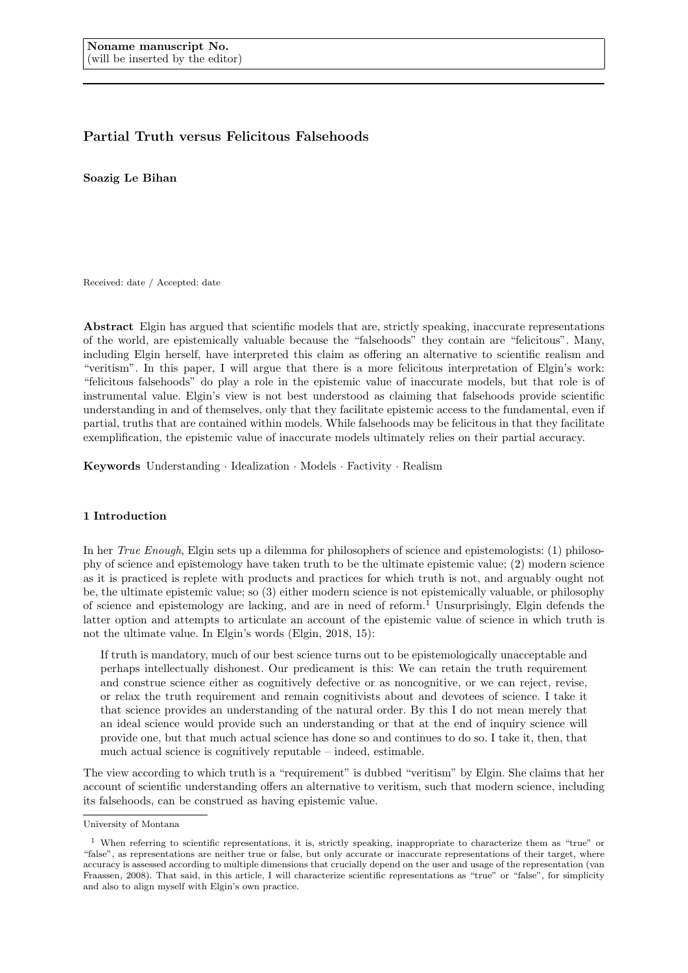# Partial Truth versus Felicitous Falsehoods

Soazig Le Bihan

Received: date / Accepted: date

Abstract Elgin has argued that scientific models that are, strictly speaking, inaccurate representations of the world, are epistemically valuable because the "falsehoods" they contain are "felicitous". Many, including Elgin herself, have interpreted this claim as offering an alternative to scientific realism and "veritism". In this paper, I will argue that there is a more felicitous interpretation of Elgin's work: "felicitous falsehoods" do play a role in the epistemic value of inaccurate models, but that role is of instrumental value. Elgin's view is not best understood as claiming that falsehoods provide scientific understanding in and of themselves, only that they facilitate epistemic access to the fundamental, even if partial, truths that are contained within models. While falsehoods may be felicitous in that they facilitate exemplification, the epistemic value of inaccurate models ultimately relies on their partial accuracy.

Keywords Understanding · Idealization · Models · Factivity · Realism

## 1 Introduction

In her True Enough, Elgin sets up a dilemma for philosophers of science and epistemologists: (1) philosophy of science and epistemology have taken truth to be the ultimate epistemic value; (2) modern science as it is practiced is replete with products and practices for which truth is not, and arguably ought not be, the ultimate epistemic value; so (3) either modern science is not epistemically valuable, or philosophy of science and epistemology are lacking, and are in need of reform.<sup>1</sup> Unsurprisingly, Elgin defends the latter option and attempts to articulate an account of the epistemic value of science in which truth is not the ultimate value. In Elgin's words (Elgin, 2018, 15):

If truth is mandatory, much of our best science turns out to be epistemologically unacceptable and perhaps intellectually dishonest. Our predicament is this: We can retain the truth requirement and construe science either as cognitively defective or as noncognitive, or we can reject, revise, or relax the truth requirement and remain cognitivists about and devotees of science. I take it that science provides an understanding of the natural order. By this I do not mean merely that an ideal science would provide such an understanding or that at the end of inquiry science will provide one, but that much actual science has done so and continues to do so. I take it, then, that much actual science is cognitively reputable – indeed, estimable.

The view according to which truth is a "requirement" is dubbed "veritism" by Elgin. She claims that her account of scientific understanding offers an alternative to veritism, such that modern science, including its falsehoods, can be construed as having epistemic value.

University of Montana

<sup>1</sup> When referring to scientific representations, it is, strictly speaking, inappropriate to characterize them as "true" or "false", as representations are neither true or false, but only accurate or inaccurate representations of their target, where accuracy is assessed according to multiple dimensions that crucially depend on the user and usage of the representation (van Fraassen, 2008). That said, in this article, I will characterize scientific representations as "true" or "false", for simplicity and also to align myself with Elgin's own practice.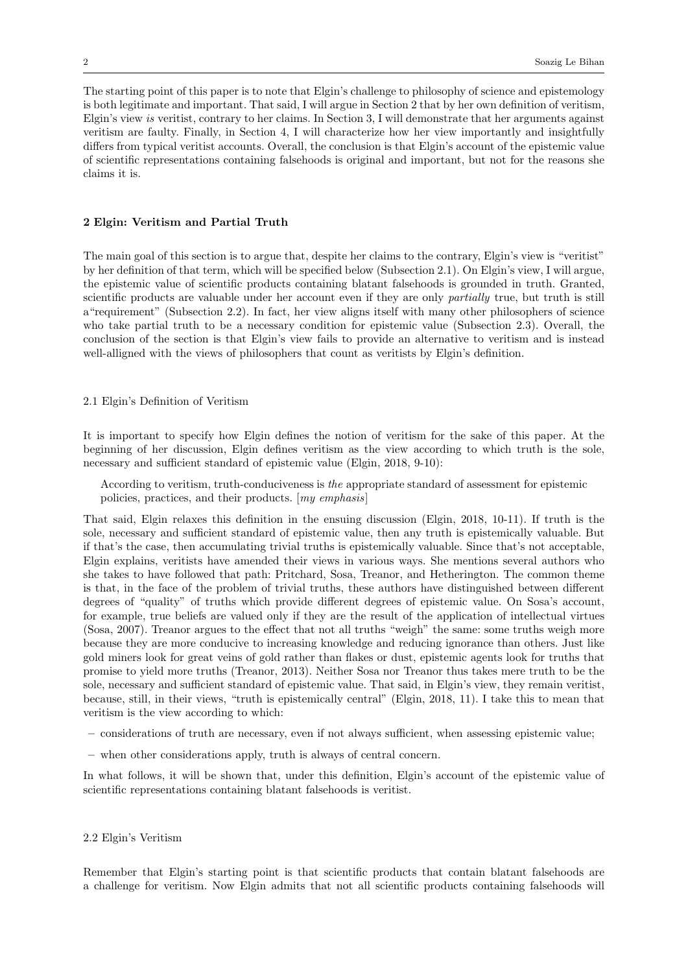The starting point of this paper is to note that Elgin's challenge to philosophy of science and epistemology is both legitimate and important. That said, I will argue in Section 2 that by her own definition of veritism, Elgin's view is veritist, contrary to her claims. In Section 3, I will demonstrate that her arguments against veritism are faulty. Finally, in Section 4, I will characterize how her view importantly and insightfully differs from typical veritist accounts. Overall, the conclusion is that Elgin's account of the epistemic value of scientific representations containing falsehoods is original and important, but not for the reasons she claims it is.

## 2 Elgin: Veritism and Partial Truth

The main goal of this section is to argue that, despite her claims to the contrary, Elgin's view is "veritist" by her definition of that term, which will be specified below (Subsection 2.1). On Elgin's view, I will argue, the epistemic value of scientific products containing blatant falsehoods is grounded in truth. Granted, scientific products are valuable under her account even if they are only *partially* true, but truth is still a"requirement" (Subsection 2.2). In fact, her view aligns itself with many other philosophers of science who take partial truth to be a necessary condition for epistemic value (Subsection 2.3). Overall, the conclusion of the section is that Elgin's view fails to provide an alternative to veritism and is instead well-alligned with the views of philosophers that count as veritists by Elgin's definition.

#### 2.1 Elgin's Definition of Veritism

It is important to specify how Elgin defines the notion of veritism for the sake of this paper. At the beginning of her discussion, Elgin defines veritism as the view according to which truth is the sole, necessary and sufficient standard of epistemic value (Elgin, 2018, 9-10):

According to veritism, truth-conduciveness is the appropriate standard of assessment for epistemic policies, practices, and their products. [my emphasis]

That said, Elgin relaxes this definition in the ensuing discussion (Elgin, 2018, 10-11). If truth is the sole, necessary and sufficient standard of epistemic value, then any truth is epistemically valuable. But if that's the case, then accumulating trivial truths is epistemically valuable. Since that's not acceptable, Elgin explains, veritists have amended their views in various ways. She mentions several authors who she takes to have followed that path: Pritchard, Sosa, Treanor, and Hetherington. The common theme is that, in the face of the problem of trivial truths, these authors have distinguished between different degrees of "quality" of truths which provide different degrees of epistemic value. On Sosa's account, for example, true beliefs are valued only if they are the result of the application of intellectual virtues (Sosa, 2007). Treanor argues to the effect that not all truths "weigh" the same: some truths weigh more because they are more conducive to increasing knowledge and reducing ignorance than others. Just like gold miners look for great veins of gold rather than flakes or dust, epistemic agents look for truths that promise to yield more truths (Treanor, 2013). Neither Sosa nor Treanor thus takes mere truth to be the sole, necessary and sufficient standard of epistemic value. That said, in Elgin's view, they remain veritist, because, still, in their views, "truth is epistemically central" (Elgin, 2018, 11). I take this to mean that veritism is the view according to which:

- considerations of truth are necessary, even if not always sufficient, when assessing epistemic value;
- when other considerations apply, truth is always of central concern.

In what follows, it will be shown that, under this definition, Elgin's account of the epistemic value of scientific representations containing blatant falsehoods is veritist.

## 2.2 Elgin's Veritism

Remember that Elgin's starting point is that scientific products that contain blatant falsehoods are a challenge for veritism. Now Elgin admits that not all scientific products containing falsehoods will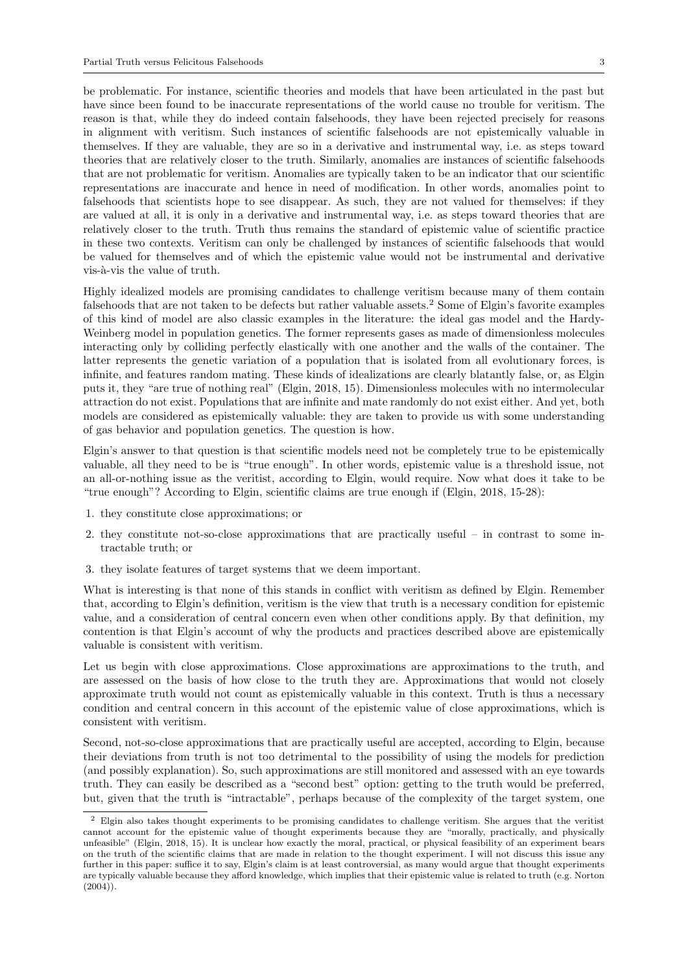be problematic. For instance, scientific theories and models that have been articulated in the past but have since been found to be inaccurate representations of the world cause no trouble for veritism. The reason is that, while they do indeed contain falsehoods, they have been rejected precisely for reasons in alignment with veritism. Such instances of scientific falsehoods are not epistemically valuable in themselves. If they are valuable, they are so in a derivative and instrumental way, i.e. as steps toward theories that are relatively closer to the truth. Similarly, anomalies are instances of scientific falsehoods that are not problematic for veritism. Anomalies are typically taken to be an indicator that our scientific representations are inaccurate and hence in need of modification. In other words, anomalies point to falsehoods that scientists hope to see disappear. As such, they are not valued for themselves: if they are valued at all, it is only in a derivative and instrumental way, i.e. as steps toward theories that are relatively closer to the truth. Truth thus remains the standard of epistemic value of scientific practice in these two contexts. Veritism can only be challenged by instances of scientific falsehoods that would be valued for themselves and of which the epistemic value would not be instrumental and derivative vis-à-vis the value of truth.

Highly idealized models are promising candidates to challenge veritism because many of them contain falsehoods that are not taken to be defects but rather valuable assets.<sup>2</sup> Some of Elgin's favorite examples of this kind of model are also classic examples in the literature: the ideal gas model and the Hardy-Weinberg model in population genetics. The former represents gases as made of dimensionless molecules interacting only by colliding perfectly elastically with one another and the walls of the container. The latter represents the genetic variation of a population that is isolated from all evolutionary forces, is infinite, and features random mating. These kinds of idealizations are clearly blatantly false, or, as Elgin puts it, they "are true of nothing real" (Elgin, 2018, 15). Dimensionless molecules with no intermolecular attraction do not exist. Populations that are infinite and mate randomly do not exist either. And yet, both models are considered as epistemically valuable: they are taken to provide us with some understanding of gas behavior and population genetics. The question is how.

Elgin's answer to that question is that scientific models need not be completely true to be epistemically valuable, all they need to be is "true enough". In other words, epistemic value is a threshold issue, not an all-or-nothing issue as the veritist, according to Elgin, would require. Now what does it take to be "true enough"? According to Elgin, scientific claims are true enough if (Elgin, 2018, 15-28):

- 1. they constitute close approximations; or
- 2. they constitute not-so-close approximations that are practically useful in contrast to some intractable truth; or
- 3. they isolate features of target systems that we deem important.

What is interesting is that none of this stands in conflict with veritism as defined by Elgin. Remember that, according to Elgin's definition, veritism is the view that truth is a necessary condition for epistemic value, and a consideration of central concern even when other conditions apply. By that definition, my contention is that Elgin's account of why the products and practices described above are epistemically valuable is consistent with veritism.

Let us begin with close approximations. Close approximations are approximations to the truth, and are assessed on the basis of how close to the truth they are. Approximations that would not closely approximate truth would not count as epistemically valuable in this context. Truth is thus a necessary condition and central concern in this account of the epistemic value of close approximations, which is consistent with veritism.

Second, not-so-close approximations that are practically useful are accepted, according to Elgin, because their deviations from truth is not too detrimental to the possibility of using the models for prediction (and possibly explanation). So, such approximations are still monitored and assessed with an eye towards truth. They can easily be described as a "second best" option: getting to the truth would be preferred, but, given that the truth is "intractable", perhaps because of the complexity of the target system, one

<sup>2</sup> Elgin also takes thought experiments to be promising candidates to challenge veritism. She argues that the veritist cannot account for the epistemic value of thought experiments because they are "morally, practically, and physically unfeasible" (Elgin, 2018, 15). It is unclear how exactly the moral, practical, or physical feasibility of an experiment bears on the truth of the scientific claims that are made in relation to the thought experiment. I will not discuss this issue any further in this paper: suffice it to say, Elgin's claim is at least controversial, as many would argue that thought experiments are typically valuable because they afford knowledge, which implies that their epistemic value is related to truth (e.g. Norton  $(2004)$ ).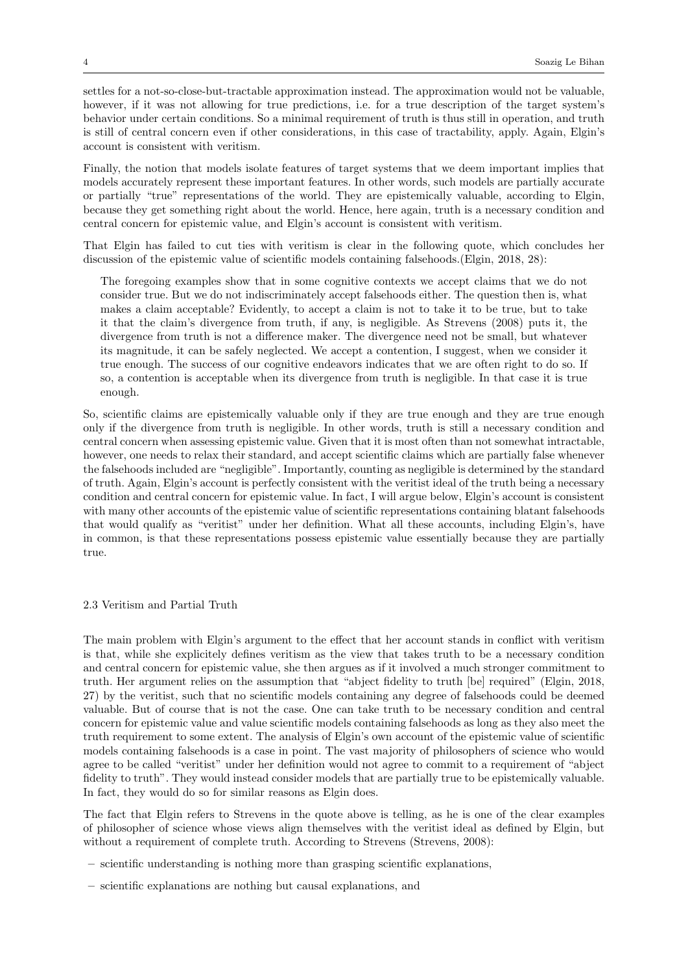settles for a not-so-close-but-tractable approximation instead. The approximation would not be valuable, however, if it was not allowing for true predictions, i.e. for a true description of the target system's behavior under certain conditions. So a minimal requirement of truth is thus still in operation, and truth is still of central concern even if other considerations, in this case of tractability, apply. Again, Elgin's account is consistent with veritism.

Finally, the notion that models isolate features of target systems that we deem important implies that models accurately represent these important features. In other words, such models are partially accurate or partially "true" representations of the world. They are epistemically valuable, according to Elgin, because they get something right about the world. Hence, here again, truth is a necessary condition and central concern for epistemic value, and Elgin's account is consistent with veritism.

That Elgin has failed to cut ties with veritism is clear in the following quote, which concludes her discussion of the epistemic value of scientific models containing falsehoods.(Elgin, 2018, 28):

The foregoing examples show that in some cognitive contexts we accept claims that we do not consider true. But we do not indiscriminately accept falsehoods either. The question then is, what makes a claim acceptable? Evidently, to accept a claim is not to take it to be true, but to take it that the claim's divergence from truth, if any, is negligible. As Strevens (2008) puts it, the divergence from truth is not a difference maker. The divergence need not be small, but whatever its magnitude, it can be safely neglected. We accept a contention, I suggest, when we consider it true enough. The success of our cognitive endeavors indicates that we are often right to do so. If so, a contention is acceptable when its divergence from truth is negligible. In that case it is true enough.

So, scientific claims are epistemically valuable only if they are true enough and they are true enough only if the divergence from truth is negligible. In other words, truth is still a necessary condition and central concern when assessing epistemic value. Given that it is most often than not somewhat intractable, however, one needs to relax their standard, and accept scientific claims which are partially false whenever the falsehoods included are "negligible". Importantly, counting as negligible is determined by the standard of truth. Again, Elgin's account is perfectly consistent with the veritist ideal of the truth being a necessary condition and central concern for epistemic value. In fact, I will argue below, Elgin's account is consistent with many other accounts of the epistemic value of scientific representations containing blatant falsehoods that would qualify as "veritist" under her definition. What all these accounts, including Elgin's, have in common, is that these representations possess epistemic value essentially because they are partially true.

2.3 Veritism and Partial Truth

The main problem with Elgin's argument to the effect that her account stands in conflict with veritism is that, while she explicitely defines veritism as the view that takes truth to be a necessary condition and central concern for epistemic value, she then argues as if it involved a much stronger commitment to truth. Her argument relies on the assumption that "abject fidelity to truth [be] required" (Elgin, 2018, 27) by the veritist, such that no scientific models containing any degree of falsehoods could be deemed valuable. But of course that is not the case. One can take truth to be necessary condition and central concern for epistemic value and value scientific models containing falsehoods as long as they also meet the truth requirement to some extent. The analysis of Elgin's own account of the epistemic value of scientific models containing falsehoods is a case in point. The vast majority of philosophers of science who would agree to be called "veritist" under her definition would not agree to commit to a requirement of "abject fidelity to truth". They would instead consider models that are partially true to be epistemically valuable. In fact, they would do so for similar reasons as Elgin does.

The fact that Elgin refers to Strevens in the quote above is telling, as he is one of the clear examples of philosopher of science whose views align themselves with the veritist ideal as defined by Elgin, but without a requirement of complete truth. According to Strevens (Strevens, 2008):

- scientific understanding is nothing more than grasping scientific explanations,
- scientific explanations are nothing but causal explanations, and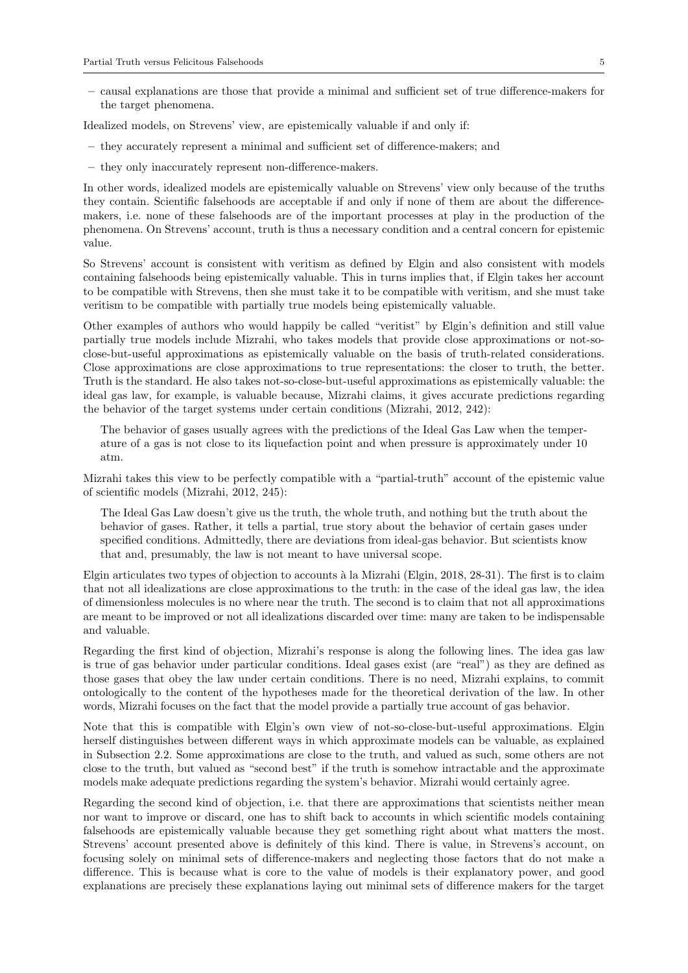– causal explanations are those that provide a minimal and sufficient set of true difference-makers for the target phenomena.

Idealized models, on Strevens' view, are epistemically valuable if and only if:

- they accurately represent a minimal and sufficient set of difference-makers; and
- they only inaccurately represent non-difference-makers.

In other words, idealized models are epistemically valuable on Strevens' view only because of the truths they contain. Scientific falsehoods are acceptable if and only if none of them are about the differencemakers, i.e. none of these falsehoods are of the important processes at play in the production of the phenomena. On Strevens' account, truth is thus a necessary condition and a central concern for epistemic value.

So Strevens' account is consistent with veritism as defined by Elgin and also consistent with models containing falsehoods being epistemically valuable. This in turns implies that, if Elgin takes her account to be compatible with Strevens, then she must take it to be compatible with veritism, and she must take veritism to be compatible with partially true models being epistemically valuable.

Other examples of authors who would happily be called "veritist" by Elgin's definition and still value partially true models include Mizrahi, who takes models that provide close approximations or not-soclose-but-useful approximations as epistemically valuable on the basis of truth-related considerations. Close approximations are close approximations to true representations: the closer to truth, the better. Truth is the standard. He also takes not-so-close-but-useful approximations as epistemically valuable: the ideal gas law, for example, is valuable because, Mizrahi claims, it gives accurate predictions regarding the behavior of the target systems under certain conditions (Mizrahi, 2012, 242):

The behavior of gases usually agrees with the predictions of the Ideal Gas Law when the temperature of a gas is not close to its liquefaction point and when pressure is approximately under 10 atm.

Mizrahi takes this view to be perfectly compatible with a "partial-truth" account of the epistemic value of scientific models (Mizrahi, 2012, 245):

The Ideal Gas Law doesn't give us the truth, the whole truth, and nothing but the truth about the behavior of gases. Rather, it tells a partial, true story about the behavior of certain gases under specified conditions. Admittedly, there are deviations from ideal-gas behavior. But scientists know that and, presumably, the law is not meant to have universal scope.

Elgin articulates two types of objection to accounts à la Mizrahi (Elgin, 2018, 28-31). The first is to claim that not all idealizations are close approximations to the truth: in the case of the ideal gas law, the idea of dimensionless molecules is no where near the truth. The second is to claim that not all approximations are meant to be improved or not all idealizations discarded over time: many are taken to be indispensable and valuable.

Regarding the first kind of objection, Mizrahi's response is along the following lines. The idea gas law is true of gas behavior under particular conditions. Ideal gases exist (are "real") as they are defined as those gases that obey the law under certain conditions. There is no need, Mizrahi explains, to commit ontologically to the content of the hypotheses made for the theoretical derivation of the law. In other words, Mizrahi focuses on the fact that the model provide a partially true account of gas behavior.

Note that this is compatible with Elgin's own view of not-so-close-but-useful approximations. Elgin herself distinguishes between different ways in which approximate models can be valuable, as explained in Subsection 2.2. Some approximations are close to the truth, and valued as such, some others are not close to the truth, but valued as "second best" if the truth is somehow intractable and the approximate models make adequate predictions regarding the system's behavior. Mizrahi would certainly agree.

Regarding the second kind of objection, i.e. that there are approximations that scientists neither mean nor want to improve or discard, one has to shift back to accounts in which scientific models containing falsehoods are epistemically valuable because they get something right about what matters the most. Strevens' account presented above is definitely of this kind. There is value, in Strevens's account, on focusing solely on minimal sets of difference-makers and neglecting those factors that do not make a difference. This is because what is core to the value of models is their explanatory power, and good explanations are precisely these explanations laying out minimal sets of difference makers for the target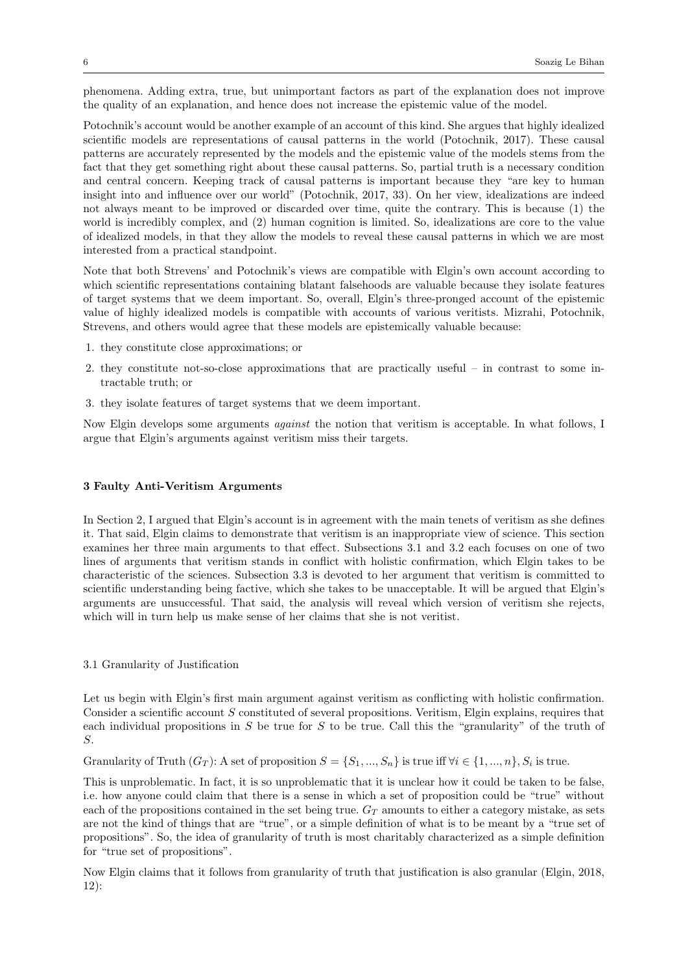phenomena. Adding extra, true, but unimportant factors as part of the explanation does not improve the quality of an explanation, and hence does not increase the epistemic value of the model.

Potochnik's account would be another example of an account of this kind. She argues that highly idealized scientific models are representations of causal patterns in the world (Potochnik, 2017). These causal patterns are accurately represented by the models and the epistemic value of the models stems from the fact that they get something right about these causal patterns. So, partial truth is a necessary condition and central concern. Keeping track of causal patterns is important because they "are key to human insight into and influence over our world" (Potochnik, 2017, 33). On her view, idealizations are indeed not always meant to be improved or discarded over time, quite the contrary. This is because (1) the world is incredibly complex, and (2) human cognition is limited. So, idealizations are core to the value of idealized models, in that they allow the models to reveal these causal patterns in which we are most interested from a practical standpoint.

Note that both Strevens' and Potochnik's views are compatible with Elgin's own account according to which scientific representations containing blatant falsehoods are valuable because they isolate features of target systems that we deem important. So, overall, Elgin's three-pronged account of the epistemic value of highly idealized models is compatible with accounts of various veritists. Mizrahi, Potochnik, Strevens, and others would agree that these models are epistemically valuable because:

- 1. they constitute close approximations; or
- 2. they constitute not-so-close approximations that are practically useful in contrast to some intractable truth; or
- 3. they isolate features of target systems that we deem important.

Now Elgin develops some arguments against the notion that veritism is acceptable. In what follows, I argue that Elgin's arguments against veritism miss their targets.

## 3 Faulty Anti-Veritism Arguments

In Section 2, I argued that Elgin's account is in agreement with the main tenets of veritism as she defines it. That said, Elgin claims to demonstrate that veritism is an inappropriate view of science. This section examines her three main arguments to that effect. Subsections 3.1 and 3.2 each focuses on one of two lines of arguments that veritism stands in conflict with holistic confirmation, which Elgin takes to be characteristic of the sciences. Subsection 3.3 is devoted to her argument that veritism is committed to scientific understanding being factive, which she takes to be unacceptable. It will be argued that Elgin's arguments are unsuccessful. That said, the analysis will reveal which version of veritism she rejects, which will in turn help us make sense of her claims that she is not veritist.

## 3.1 Granularity of Justification

Let us begin with Elgin's first main argument against veritism as conflicting with holistic confirmation. Consider a scientific account S constituted of several propositions. Veritism, Elgin explains, requires that each individual propositions in  $S$  be true for  $S$  to be true. Call this the "granularity" of the truth of S.

Granularity of Truth  $(G_T)$ : A set of proposition  $S = \{S_1, ..., S_n\}$  is true iff  $\forall i \in \{1, ..., n\}$ ,  $S_i$  is true.

This is unproblematic. In fact, it is so unproblematic that it is unclear how it could be taken to be false, i.e. how anyone could claim that there is a sense in which a set of proposition could be "true" without each of the propositions contained in the set being true.  $G_T$  amounts to either a category mistake, as sets are not the kind of things that are "true", or a simple definition of what is to be meant by a "true set of propositions". So, the idea of granularity of truth is most charitably characterized as a simple definition for "true set of propositions".

Now Elgin claims that it follows from granularity of truth that justification is also granular (Elgin, 2018, 12):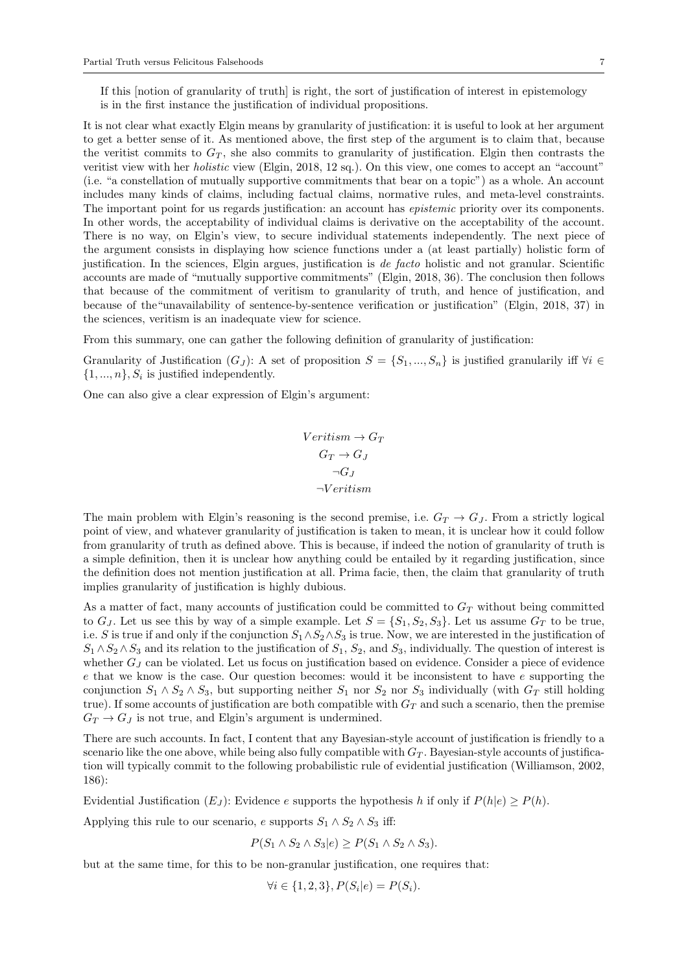If this [notion of granularity of truth] is right, the sort of justification of interest in epistemology is in the first instance the justification of individual propositions.

It is not clear what exactly Elgin means by granularity of justification: it is useful to look at her argument to get a better sense of it. As mentioned above, the first step of the argument is to claim that, because the veritist commits to  $G_T$ , she also commits to granularity of justification. Elgin then contrasts the veritist view with her holistic view (Elgin, 2018, 12 sq.). On this view, one comes to accept an "account" (i.e. "a constellation of mutually supportive commitments that bear on a topic") as a whole. An account includes many kinds of claims, including factual claims, normative rules, and meta-level constraints. The important point for us regards justification: an account has *epistemic* priority over its components. In other words, the acceptability of individual claims is derivative on the acceptability of the account. There is no way, on Elgin's view, to secure individual statements independently. The next piece of the argument consists in displaying how science functions under a (at least partially) holistic form of justification. In the sciences, Elgin argues, justification is de facto holistic and not granular. Scientific accounts are made of "mutually supportive commitments" (Elgin, 2018, 36). The conclusion then follows that because of the commitment of veritism to granularity of truth, and hence of justification, and because of the"unavailability of sentence-by-sentence verification or justification" (Elgin, 2018, 37) in the sciences, veritism is an inadequate view for science.

From this summary, one can gather the following definition of granularity of justification:

Granularity of Justification  $(G_J)$ : A set of proposition  $S = \{S_1, ..., S_n\}$  is justified granularily iff  $\forall i \in$  $\{1, ..., n\}, S_i$  is justified independently.

One can also give a clear expression of Elgin's argument:

$$
Verification \rightarrow G_T
$$
  
\n
$$
G_T \rightarrow G_J
$$
  
\n
$$
\neg G_J
$$
  
\n
$$
\neg Verification
$$

The main problem with Elgin's reasoning is the second premise, i.e.  $G_T \rightarrow G_J$ . From a strictly logical point of view, and whatever granularity of justification is taken to mean, it is unclear how it could follow from granularity of truth as defined above. This is because, if indeed the notion of granularity of truth is a simple definition, then it is unclear how anything could be entailed by it regarding justification, since the definition does not mention justification at all. Prima facie, then, the claim that granularity of truth implies granularity of justification is highly dubious.

As a matter of fact, many accounts of justification could be committed to  $G_T$  without being committed to  $G_J$ . Let us see this by way of a simple example. Let  $S = \{S_1, S_2, S_3\}$ . Let us assume  $G_T$  to be true, i.e. S is true if and only if the conjunction  $S_1 \wedge S_2 \wedge S_3$  is true. Now, we are interested in the justification of  $S_1 \wedge S_2 \wedge S_3$  and its relation to the justification of  $S_1$ ,  $S_2$ , and  $S_3$ , individually. The question of interest is whether  $G_J$  can be violated. Let us focus on justification based on evidence. Consider a piece of evidence e that we know is the case. Our question becomes: would it be inconsistent to have e supporting the conjunction  $S_1 \wedge S_2 \wedge S_3$ , but supporting neither  $S_1$  nor  $S_2$  nor  $S_3$  individually (with  $G_T$  still holding true). If some accounts of justification are both compatible with  $G_T$  and such a scenario, then the premise  $G_T \rightarrow G_J$  is not true, and Elgin's argument is undermined.

There are such accounts. In fact, I content that any Bayesian-style account of justification is friendly to a scenario like the one above, while being also fully compatible with  $G_T$ . Bayesian-style accounts of justification will typically commit to the following probabilistic rule of evidential justification (Williamson, 2002, 186):

Evidential Justification  $(E_J)$ : Evidence e supports the hypothesis h if only if  $P(h|e) \ge P(h)$ .

Applying this rule to our scenario, e supports  $S_1 \wedge S_2 \wedge S_3$  iff:

$$
P(S_1 \wedge S_2 \wedge S_3 | e) \ge P(S_1 \wedge S_2 \wedge S_3).
$$

but at the same time, for this to be non-granular justification, one requires that:

$$
\forall i \in \{1, 2, 3\}, P(S_i | e) = P(S_i).
$$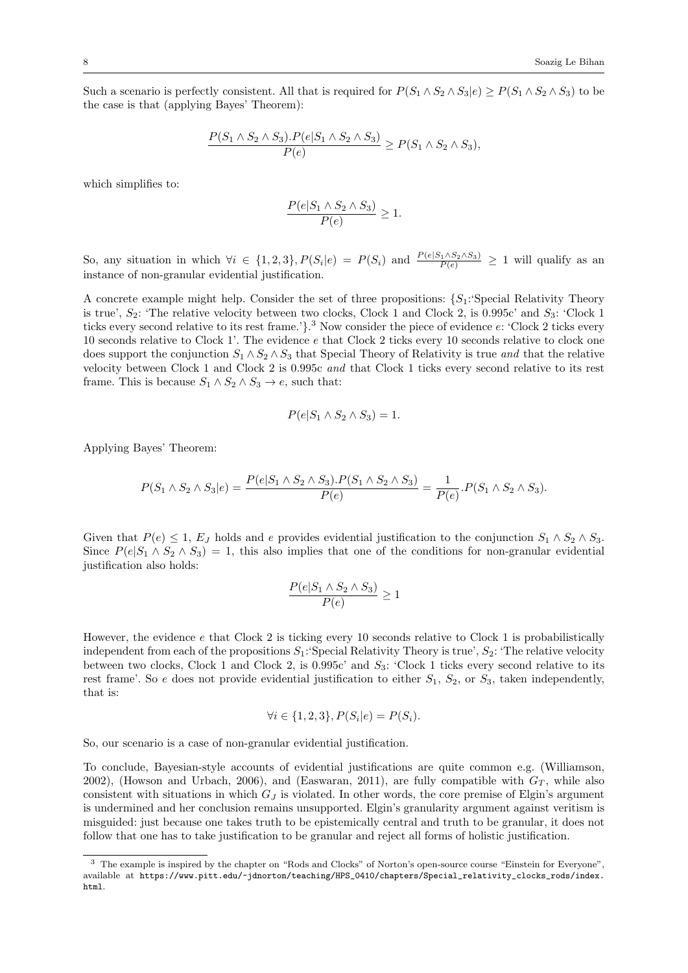Such a scenario is perfectly consistent. All that is required for  $P(S_1 \wedge S_2 \wedge S_3|e) \geq P(S_1 \wedge S_2 \wedge S_3)$  to be the case is that (applying Bayes' Theorem):

$$
\frac{P(S_1 \wedge S_2 \wedge S_3).P(e|S_1 \wedge S_2 \wedge S_3)}{P(e)} \ge P(S_1 \wedge S_2 \wedge S_3),
$$

which simplifies to:

$$
\frac{P(e|S_1 \wedge S_2 \wedge S_3)}{P(e)} \ge 1.
$$

So, any situation in which  $\forall i \in \{1,2,3\}, P(S_i|e) = P(S_i)$  and  $\frac{P(e|S_1 \wedge S_2 \wedge S_3)}{P(e)} \geq 1$  will qualify as an instance of non-granular evidential justification.

A concrete example might help. Consider the set of three propositions:  $\{S_1: \text{Special Relativity Theory}\}$ is true',  $S_2$ : 'The relative velocity between two clocks, Clock 1 and Clock 2, is 0.995c' and  $S_3$ : 'Clock 1 ticks every second relative to its rest frame.<sup>'</sup>}.<sup>3</sup> Now consider the piece of evidence e: 'Clock 2 ticks every 10 seconds relative to Clock 1'. The evidence e that Clock 2 ticks every 10 seconds relative to clock one does support the conjunction  $S_1 \wedge S_2 \wedge S_3$  that Special Theory of Relativity is true and that the relative velocity between Clock 1 and Clock 2 is 0.995c and that Clock 1 ticks every second relative to its rest frame. This is because  $S_1 \wedge S_2 \wedge S_3 \rightarrow e$ , such that:

$$
P(e|S_1 \wedge S_2 \wedge S_3) = 1.
$$

Applying Bayes' Theorem:

$$
P(S_1 \wedge S_2 \wedge S_3 | e) = \frac{P(e|S_1 \wedge S_2 \wedge S_3).P(S_1 \wedge S_2 \wedge S_3)}{P(e)} = \frac{1}{P(e)}.P(S_1 \wedge S_2 \wedge S_3).
$$

Given that  $P(e) \leq 1$ ,  $E_J$  holds and e provides evidential justification to the conjunction  $S_1 \wedge S_2 \wedge S_3$ . Since  $P(e|S_1 \wedge S_2 \wedge S_3) = 1$ , this also implies that one of the conditions for non-granular evidential justification also holds:

$$
\frac{P(e|S_1 \wedge S_2 \wedge S_3)}{P(e)} \ge 1
$$

However, the evidence  $e$  that Clock 2 is ticking every 10 seconds relative to Clock 1 is probabilistically independent from each of the propositions  $S_1$ :'Special Relativity Theory is true',  $S_2$ : 'The relative velocity between two clocks, Clock 1 and Clock 2, is  $0.995c'$  and  $S_3$ : 'Clock 1 ticks every second relative to its rest frame'. So e does not provide evidential justification to either  $S_1$ ,  $S_2$ , or  $S_3$ , taken independently, that is:

$$
\forall i \in \{1, 2, 3\}, P(S_i | e) = P(S_i).
$$

So, our scenario is a case of non-granular evidential justification.

To conclude, Bayesian-style accounts of evidential justifications are quite common e.g. (Williamson, 2002), (Howson and Urbach, 2006), and (Easwaran, 2011), are fully compatible with  $G_T$ , while also consistent with situations in which  $G<sub>J</sub>$  is violated. In other words, the core premise of Elgin's argument is undermined and her conclusion remains unsupported. Elgin's granularity argument against veritism is misguided: just because one takes truth to be epistemically central and truth to be granular, it does not follow that one has to take justification to be granular and reject all forms of holistic justification.

<sup>&</sup>lt;sup>3</sup> The example is inspired by the chapter on "Rods and Clocks" of Norton's open-source course "Einstein for Everyone", available at https://www.pitt.edu/~jdnorton/teaching/HPS\_0410/chapters/Special\_relativity\_clocks\_rods/index. html.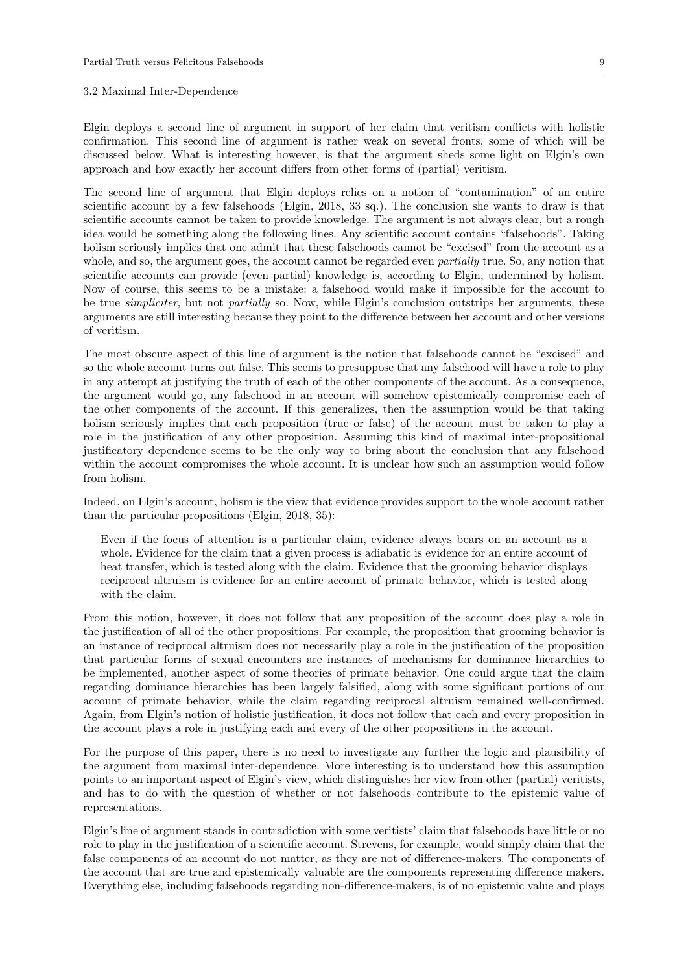#### 3.2 Maximal Inter-Dependence

Elgin deploys a second line of argument in support of her claim that veritism conflicts with holistic confirmation. This second line of argument is rather weak on several fronts, some of which will be discussed below. What is interesting however, is that the argument sheds some light on Elgin's own approach and how exactly her account differs from other forms of (partial) veritism.

The second line of argument that Elgin deploys relies on a notion of "contamination" of an entire scientific account by a few falsehoods (Elgin, 2018, 33 sq.). The conclusion she wants to draw is that scientific accounts cannot be taken to provide knowledge. The argument is not always clear, but a rough idea would be something along the following lines. Any scientific account contains "falsehoods". Taking holism seriously implies that one admit that these falsehoods cannot be "excised" from the account as a whole, and so, the argument goes, the account cannot be regarded even *partially* true. So, any notion that scientific accounts can provide (even partial) knowledge is, according to Elgin, undermined by holism. Now of course, this seems to be a mistake: a falsehood would make it impossible for the account to be true simpliciter, but not partially so. Now, while Elgin's conclusion outstrips her arguments, these arguments are still interesting because they point to the difference between her account and other versions of veritism.

The most obscure aspect of this line of argument is the notion that falsehoods cannot be "excised" and so the whole account turns out false. This seems to presuppose that any falsehood will have a role to play in any attempt at justifying the truth of each of the other components of the account. As a consequence, the argument would go, any falsehood in an account will somehow epistemically compromise each of the other components of the account. If this generalizes, then the assumption would be that taking holism seriously implies that each proposition (true or false) of the account must be taken to play a role in the justification of any other proposition. Assuming this kind of maximal inter-propositional justificatory dependence seems to be the only way to bring about the conclusion that any falsehood within the account compromises the whole account. It is unclear how such an assumption would follow from holism.

Indeed, on Elgin's account, holism is the view that evidence provides support to the whole account rather than the particular propositions (Elgin, 2018, 35):

Even if the focus of attention is a particular claim, evidence always bears on an account as a whole. Evidence for the claim that a given process is adiabatic is evidence for an entire account of heat transfer, which is tested along with the claim. Evidence that the grooming behavior displays reciprocal altruism is evidence for an entire account of primate behavior, which is tested along with the claim.

From this notion, however, it does not follow that any proposition of the account does play a role in the justification of all of the other propositions. For example, the proposition that grooming behavior is an instance of reciprocal altruism does not necessarily play a role in the justification of the proposition that particular forms of sexual encounters are instances of mechanisms for dominance hierarchies to be implemented, another aspect of some theories of primate behavior. One could argue that the claim regarding dominance hierarchies has been largely falsified, along with some significant portions of our account of primate behavior, while the claim regarding reciprocal altruism remained well-confirmed. Again, from Elgin's notion of holistic justification, it does not follow that each and every proposition in the account plays a role in justifying each and every of the other propositions in the account.

For the purpose of this paper, there is no need to investigate any further the logic and plausibility of the argument from maximal inter-dependence. More interesting is to understand how this assumption points to an important aspect of Elgin's view, which distinguishes her view from other (partial) veritists, and has to do with the question of whether or not falsehoods contribute to the epistemic value of representations.

Elgin's line of argument stands in contradiction with some veritists' claim that falsehoods have little or no role to play in the justification of a scientific account. Strevens, for example, would simply claim that the false components of an account do not matter, as they are not of difference-makers. The components of the account that are true and epistemically valuable are the components representing difference makers. Everything else, including falsehoods regarding non-difference-makers, is of no epistemic value and plays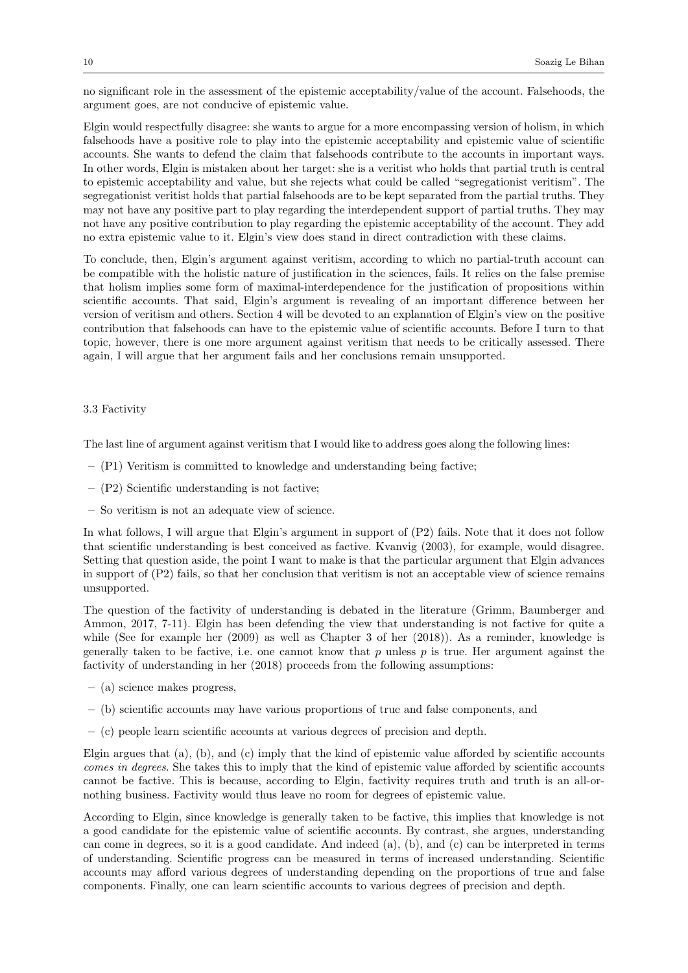no significant role in the assessment of the epistemic acceptability/value of the account. Falsehoods, the argument goes, are not conducive of epistemic value.

Elgin would respectfully disagree: she wants to argue for a more encompassing version of holism, in which falsehoods have a positive role to play into the epistemic acceptability and epistemic value of scientific accounts. She wants to defend the claim that falsehoods contribute to the accounts in important ways. In other words, Elgin is mistaken about her target: she is a veritist who holds that partial truth is central to epistemic acceptability and value, but she rejects what could be called "segregationist veritism". The segregationist veritist holds that partial falsehoods are to be kept separated from the partial truths. They may not have any positive part to play regarding the interdependent support of partial truths. They may not have any positive contribution to play regarding the epistemic acceptability of the account. They add no extra epistemic value to it. Elgin's view does stand in direct contradiction with these claims.

To conclude, then, Elgin's argument against veritism, according to which no partial-truth account can be compatible with the holistic nature of justification in the sciences, fails. It relies on the false premise that holism implies some form of maximal-interdependence for the justification of propositions within scientific accounts. That said, Elgin's argument is revealing of an important difference between her version of veritism and others. Section 4 will be devoted to an explanation of Elgin's view on the positive contribution that falsehoods can have to the epistemic value of scientific accounts. Before I turn to that topic, however, there is one more argument against veritism that needs to be critically assessed. There again, I will argue that her argument fails and her conclusions remain unsupported.

#### 3.3 Factivity

The last line of argument against veritism that I would like to address goes along the following lines:

- $-$  (P1) Veritism is committed to knowledge and understanding being factive;
- (P2) Scientific understanding is not factive;
- So veritism is not an adequate view of science.

In what follows, I will argue that Elgin's argument in support of (P2) fails. Note that it does not follow that scientific understanding is best conceived as factive. Kvanvig (2003), for example, would disagree. Setting that question aside, the point I want to make is that the particular argument that Elgin advances in support of (P2) fails, so that her conclusion that veritism is not an acceptable view of science remains unsupported.

The question of the factivity of understanding is debated in the literature (Grimm, Baumberger and Ammon, 2017, 7-11). Elgin has been defending the view that understanding is not factive for quite a while (See for example her (2009) as well as Chapter 3 of her (2018)). As a reminder, knowledge is generally taken to be factive, i.e. one cannot know that  $p$  unless  $p$  is true. Her argument against the factivity of understanding in her (2018) proceeds from the following assumptions:

- (a) science makes progress,
- (b) scientific accounts may have various proportions of true and false components, and
- (c) people learn scientific accounts at various degrees of precision and depth.

Elgin argues that (a), (b), and (c) imply that the kind of epistemic value afforded by scientific accounts comes in degrees. She takes this to imply that the kind of epistemic value afforded by scientific accounts cannot be factive. This is because, according to Elgin, factivity requires truth and truth is an all-ornothing business. Factivity would thus leave no room for degrees of epistemic value.

According to Elgin, since knowledge is generally taken to be factive, this implies that knowledge is not a good candidate for the epistemic value of scientific accounts. By contrast, she argues, understanding can come in degrees, so it is a good candidate. And indeed (a), (b), and (c) can be interpreted in terms of understanding. Scientific progress can be measured in terms of increased understanding. Scientific accounts may afford various degrees of understanding depending on the proportions of true and false components. Finally, one can learn scientific accounts to various degrees of precision and depth.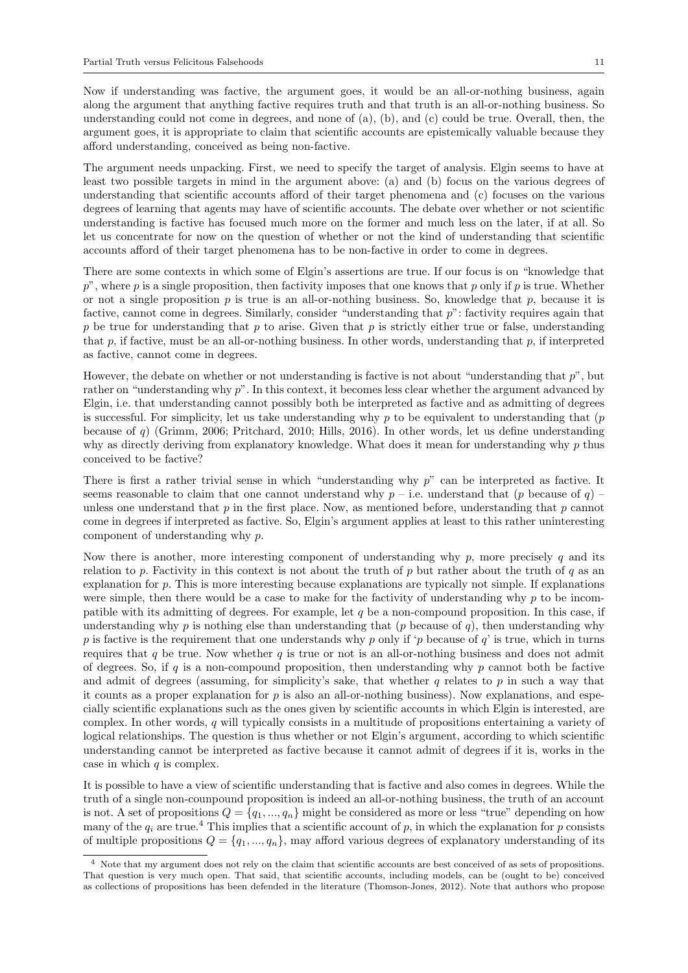Now if understanding was factive, the argument goes, it would be an all-or-nothing business, again along the argument that anything factive requires truth and that truth is an all-or-nothing business. So understanding could not come in degrees, and none of (a), (b), and (c) could be true. Overall, then, the argument goes, it is appropriate to claim that scientific accounts are epistemically valuable because they afford understanding, conceived as being non-factive.

The argument needs unpacking. First, we need to specify the target of analysis. Elgin seems to have at least two possible targets in mind in the argument above: (a) and (b) focus on the various degrees of understanding that scientific accounts afford of their target phenomena and (c) focuses on the various degrees of learning that agents may have of scientific accounts. The debate over whether or not scientific understanding is factive has focused much more on the former and much less on the later, if at all. So let us concentrate for now on the question of whether or not the kind of understanding that scientific accounts afford of their target phenomena has to be non-factive in order to come in degrees.

There are some contexts in which some of Elgin's assertions are true. If our focus is on "knowledge that  $p$ ", where p is a single proposition, then factivity imposes that one knows that p only if p is true. Whether or not a single proposition  $p$  is true is an all-or-nothing business. So, knowledge that  $p$ , because it is factive, cannot come in degrees. Similarly, consider "understanding that p": factivity requires again that p be true for understanding that p to arise. Given that p is strictly either true or false, understanding that  $p$ , if factive, must be an all-or-nothing business. In other words, understanding that  $p$ , if interpreted as factive, cannot come in degrees.

However, the debate on whether or not understanding is factive is not about "understanding that p", but rather on "understanding why p". In this context, it becomes less clear whether the argument advanced by Elgin, i.e. that understanding cannot possibly both be interpreted as factive and as admitting of degrees is successful. For simplicity, let us take understanding why  $p$  to be equivalent to understanding that  $(p)$ because of q) (Grimm, 2006; Pritchard, 2010; Hills, 2016). In other words, let us define understanding why as directly deriving from explanatory knowledge. What does it mean for understanding why  $p$  thus conceived to be factive?

There is first a rather trivial sense in which "understanding why p" can be interpreted as factive. It seems reasonable to claim that one cannot understand why  $p - i.e.$  understand that (p because of q) – unless one understand that  $p$  in the first place. Now, as mentioned before, understanding that  $p$  cannot come in degrees if interpreted as factive. So, Elgin's argument applies at least to this rather uninteresting component of understanding why p.

Now there is another, more interesting component of understanding why  $p$ , more precisely  $q$  and its relation to p. Factivity in this context is not about the truth of p but rather about the truth of q as an explanation for p. This is more interesting because explanations are typically not simple. If explanations were simple, then there would be a case to make for the factivity of understanding why  $p$  to be incompatible with its admitting of degrees. For example, let  $q$  be a non-compound proposition. In this case, if understanding why p is nothing else than understanding that (p because of q), then understanding why p is factive is the requirement that one understands why p only if 'p because of  $q$ ' is true, which in turns requires that q be true. Now whether  $q$  is true or not is an all-or-nothing business and does not admit of degrees. So, if q is a non-compound proposition, then understanding why  $p$  cannot both be factive and admit of degrees (assuming, for simplicity's sake, that whether q relates to p in such a way that it counts as a proper explanation for  $p$  is also an all-or-nothing business). Now explanations, and especially scientific explanations such as the ones given by scientific accounts in which Elgin is interested, are complex. In other words, q will typically consists in a multitude of propositions entertaining a variety of logical relationships. The question is thus whether or not Elgin's argument, according to which scientific understanding cannot be interpreted as factive because it cannot admit of degrees if it is, works in the case in which  $q$  is complex.

It is possible to have a view of scientific understanding that is factive and also comes in degrees. While the truth of a single non-counpound proposition is indeed an all-or-nothing business, the truth of an account is not. A set of propositions  $Q = \{q_1, ..., q_n\}$  might be considered as more or less "true" depending on how many of the  $q_i$  are true.<sup>4</sup> This implies that a scientific account of p, in which the explanation for p consists of multiple propositions  $Q = \{q_1, ..., q_n\}$ , may afford various degrees of explanatory understanding of its

 $^4\,$  Note that my argument does not rely on the claim that scientific accounts are best conceived of as sets of propositions. That question is very much open. That said, that scientific accounts, including models, can be (ought to be) conceived as collections of propositions has been defended in the literature (Thomson-Jones, 2012). Note that authors who propose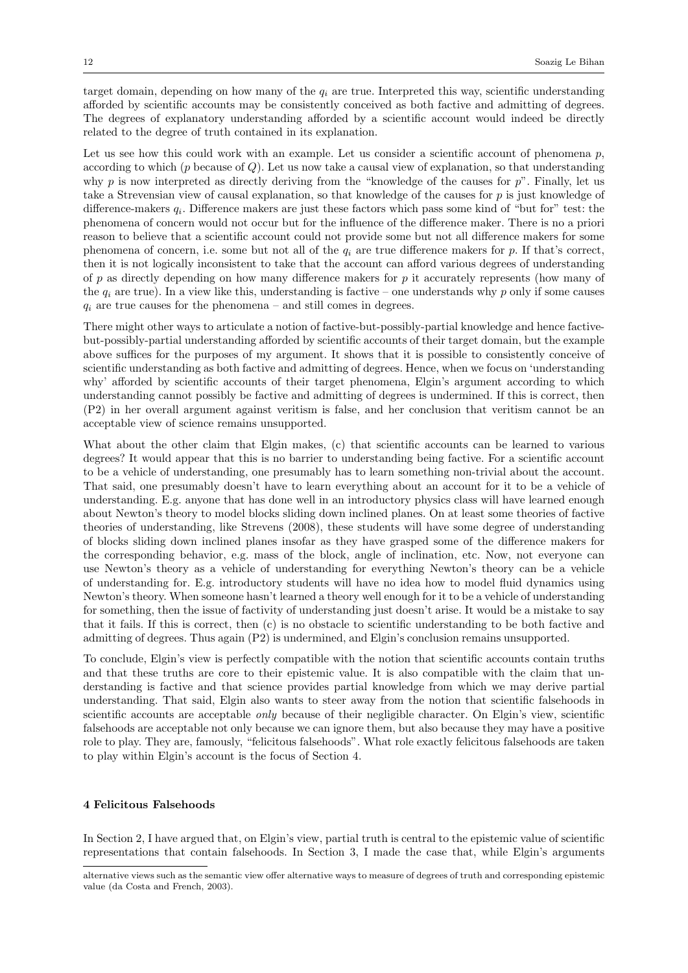target domain, depending on how many of the  $q_i$  are true. Interpreted this way, scientific understanding afforded by scientific accounts may be consistently conceived as both factive and admitting of degrees. The degrees of explanatory understanding afforded by a scientific account would indeed be directly related to the degree of truth contained in its explanation.

Let us see how this could work with an example. Let us consider a scientific account of phenomena  $p$ , according to which ( $p$  because of  $Q$ ). Let us now take a causal view of explanation, so that understanding why p is now interpreted as directly deriving from the "knowledge of the causes for  $p$ ". Finally, let us take a Strevensian view of causal explanation, so that knowledge of the causes for  $p$  is just knowledge of difference-makers  $q_i$ . Difference makers are just these factors which pass some kind of "but for" test: the phenomena of concern would not occur but for the influence of the difference maker. There is no a priori reason to believe that a scientific account could not provide some but not all difference makers for some phenomena of concern, i.e. some but not all of the  $q_i$  are true difference makers for p. If that's correct, then it is not logically inconsistent to take that the account can afford various degrees of understanding of p as directly depending on how many difference makers for p it accurately represents (how many of the  $q_i$  are true). In a view like this, understanding is factive – one understands why p only if some causes  $q_i$  are true causes for the phenomena – and still comes in degrees.

There might other ways to articulate a notion of factive-but-possibly-partial knowledge and hence factivebut-possibly-partial understanding afforded by scientific accounts of their target domain, but the example above suffices for the purposes of my argument. It shows that it is possible to consistently conceive of scientific understanding as both factive and admitting of degrees. Hence, when we focus on 'understanding why' afforded by scientific accounts of their target phenomena, Elgin's argument according to which understanding cannot possibly be factive and admitting of degrees is undermined. If this is correct, then (P2) in her overall argument against veritism is false, and her conclusion that veritism cannot be an acceptable view of science remains unsupported.

What about the other claim that Elgin makes, (c) that scientific accounts can be learned to various degrees? It would appear that this is no barrier to understanding being factive. For a scientific account to be a vehicle of understanding, one presumably has to learn something non-trivial about the account. That said, one presumably doesn't have to learn everything about an account for it to be a vehicle of understanding. E.g. anyone that has done well in an introductory physics class will have learned enough about Newton's theory to model blocks sliding down inclined planes. On at least some theories of factive theories of understanding, like Strevens (2008), these students will have some degree of understanding of blocks sliding down inclined planes insofar as they have grasped some of the difference makers for the corresponding behavior, e.g. mass of the block, angle of inclination, etc. Now, not everyone can use Newton's theory as a vehicle of understanding for everything Newton's theory can be a vehicle of understanding for. E.g. introductory students will have no idea how to model fluid dynamics using Newton's theory. When someone hasn't learned a theory well enough for it to be a vehicle of understanding for something, then the issue of factivity of understanding just doesn't arise. It would be a mistake to say that it fails. If this is correct, then (c) is no obstacle to scientific understanding to be both factive and admitting of degrees. Thus again (P2) is undermined, and Elgin's conclusion remains unsupported.

To conclude, Elgin's view is perfectly compatible with the notion that scientific accounts contain truths and that these truths are core to their epistemic value. It is also compatible with the claim that understanding is factive and that science provides partial knowledge from which we may derive partial understanding. That said, Elgin also wants to steer away from the notion that scientific falsehoods in scientific accounts are acceptable *only* because of their negligible character. On Elgin's view, scientific falsehoods are acceptable not only because we can ignore them, but also because they may have a positive role to play. They are, famously, "felicitous falsehoods". What role exactly felicitous falsehoods are taken to play within Elgin's account is the focus of Section 4.

## 4 Felicitous Falsehoods

In Section 2, I have argued that, on Elgin's view, partial truth is central to the epistemic value of scientific representations that contain falsehoods. In Section 3, I made the case that, while Elgin's arguments

alternative views such as the semantic view offer alternative ways to measure of degrees of truth and corresponding epistemic value (da Costa and French, 2003).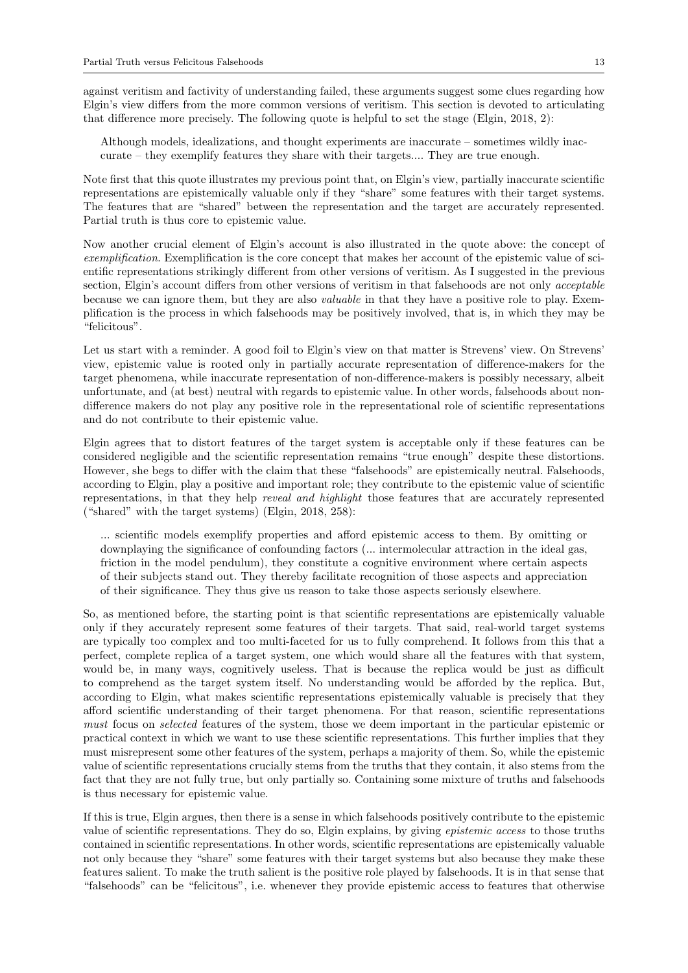against veritism and factivity of understanding failed, these arguments suggest some clues regarding how Elgin's view differs from the more common versions of veritism. This section is devoted to articulating that difference more precisely. The following quote is helpful to set the stage (Elgin, 2018, 2):

Although models, idealizations, and thought experiments are inaccurate – sometimes wildly inaccurate – they exemplify features they share with their targets.... They are true enough.

Note first that this quote illustrates my previous point that, on Elgin's view, partially inaccurate scientific representations are epistemically valuable only if they "share" some features with their target systems. The features that are "shared" between the representation and the target are accurately represented. Partial truth is thus core to epistemic value.

Now another crucial element of Elgin's account is also illustrated in the quote above: the concept of exemplification. Exemplification is the core concept that makes her account of the epistemic value of scientific representations strikingly different from other versions of veritism. As I suggested in the previous section, Elgin's account differs from other versions of veritism in that falsehoods are not only *acceptable* because we can ignore them, but they are also valuable in that they have a positive role to play. Exemplification is the process in which falsehoods may be positively involved, that is, in which they may be "felicitous".

Let us start with a reminder. A good foil to Elgin's view on that matter is Strevens' view. On Strevens' view, epistemic value is rooted only in partially accurate representation of difference-makers for the target phenomena, while inaccurate representation of non-difference-makers is possibly necessary, albeit unfortunate, and (at best) neutral with regards to epistemic value. In other words, falsehoods about nondifference makers do not play any positive role in the representational role of scientific representations and do not contribute to their epistemic value.

Elgin agrees that to distort features of the target system is acceptable only if these features can be considered negligible and the scientific representation remains "true enough" despite these distortions. However, she begs to differ with the claim that these "falsehoods" are epistemically neutral. Falsehoods, according to Elgin, play a positive and important role; they contribute to the epistemic value of scientific representations, in that they help reveal and highlight those features that are accurately represented ("shared" with the target systems) (Elgin, 2018, 258):

... scientific models exemplify properties and afford epistemic access to them. By omitting or downplaying the significance of confounding factors (... intermolecular attraction in the ideal gas, friction in the model pendulum), they constitute a cognitive environment where certain aspects of their subjects stand out. They thereby facilitate recognition of those aspects and appreciation of their significance. They thus give us reason to take those aspects seriously elsewhere.

So, as mentioned before, the starting point is that scientific representations are epistemically valuable only if they accurately represent some features of their targets. That said, real-world target systems are typically too complex and too multi-faceted for us to fully comprehend. It follows from this that a perfect, complete replica of a target system, one which would share all the features with that system, would be, in many ways, cognitively useless. That is because the replica would be just as difficult to comprehend as the target system itself. No understanding would be afforded by the replica. But, according to Elgin, what makes scientific representations epistemically valuable is precisely that they afford scientific understanding of their target phenomena. For that reason, scientific representations must focus on *selected* features of the system, those we deem important in the particular epistemic or practical context in which we want to use these scientific representations. This further implies that they must misrepresent some other features of the system, perhaps a majority of them. So, while the epistemic value of scientific representations crucially stems from the truths that they contain, it also stems from the fact that they are not fully true, but only partially so. Containing some mixture of truths and falsehoods is thus necessary for epistemic value.

If this is true, Elgin argues, then there is a sense in which falsehoods positively contribute to the epistemic value of scientific representations. They do so, Elgin explains, by giving epistemic access to those truths contained in scientific representations. In other words, scientific representations are epistemically valuable not only because they "share" some features with their target systems but also because they make these features salient. To make the truth salient is the positive role played by falsehoods. It is in that sense that "falsehoods" can be "felicitous", i.e. whenever they provide epistemic access to features that otherwise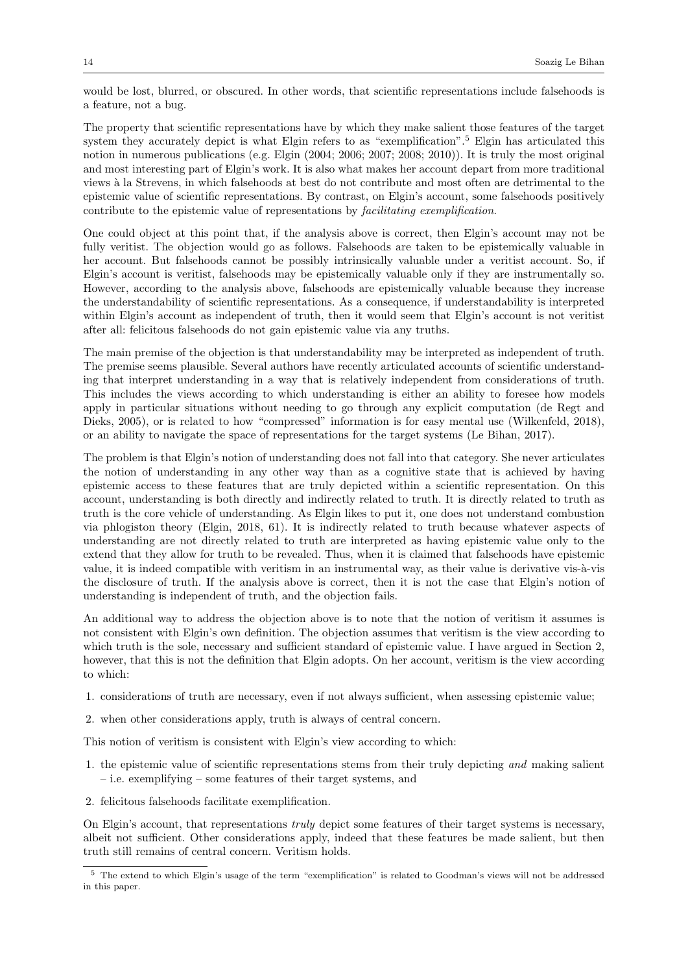would be lost, blurred, or obscured. In other words, that scientific representations include falsehoods is a feature, not a bug.

The property that scientific representations have by which they make salient those features of the target system they accurately depict is what Elgin refers to as "exemplification".<sup>5</sup> Elgin has articulated this notion in numerous publications (e.g. Elgin (2004; 2006; 2007; 2008; 2010)). It is truly the most original and most interesting part of Elgin's work. It is also what makes her account depart from more traditional views à la Strevens, in which falsehoods at best do not contribute and most often are detrimental to the epistemic value of scientific representations. By contrast, on Elgin's account, some falsehoods positively contribute to the epistemic value of representations by facilitating exemplification.

One could object at this point that, if the analysis above is correct, then Elgin's account may not be fully veritist. The objection would go as follows. Falsehoods are taken to be epistemically valuable in her account. But falsehoods cannot be possibly intrinsically valuable under a veritist account. So, if Elgin's account is veritist, falsehoods may be epistemically valuable only if they are instrumentally so. However, according to the analysis above, falsehoods are epistemically valuable because they increase the understandability of scientific representations. As a consequence, if understandability is interpreted within Elgin's account as independent of truth, then it would seem that Elgin's account is not veritist after all: felicitous falsehoods do not gain epistemic value via any truths.

The main premise of the objection is that understandability may be interpreted as independent of truth. The premise seems plausible. Several authors have recently articulated accounts of scientific understanding that interpret understanding in a way that is relatively independent from considerations of truth. This includes the views according to which understanding is either an ability to foresee how models apply in particular situations without needing to go through any explicit computation (de Regt and Dieks, 2005), or is related to how "compressed" information is for easy mental use (Wilkenfeld, 2018), or an ability to navigate the space of representations for the target systems (Le Bihan, 2017).

The problem is that Elgin's notion of understanding does not fall into that category. She never articulates the notion of understanding in any other way than as a cognitive state that is achieved by having epistemic access to these features that are truly depicted within a scientific representation. On this account, understanding is both directly and indirectly related to truth. It is directly related to truth as truth is the core vehicle of understanding. As Elgin likes to put it, one does not understand combustion via phlogiston theory (Elgin, 2018, 61). It is indirectly related to truth because whatever aspects of understanding are not directly related to truth are interpreted as having epistemic value only to the extend that they allow for truth to be revealed. Thus, when it is claimed that falsehoods have epistemic value, it is indeed compatible with veritism in an instrumental way, as their value is derivative vis-à-vis the disclosure of truth. If the analysis above is correct, then it is not the case that Elgin's notion of understanding is independent of truth, and the objection fails.

An additional way to address the objection above is to note that the notion of veritism it assumes is not consistent with Elgin's own definition. The objection assumes that veritism is the view according to which truth is the sole, necessary and sufficient standard of epistemic value. I have argued in Section 2, however, that this is not the definition that Elgin adopts. On her account, veritism is the view according to which:

- 1. considerations of truth are necessary, even if not always sufficient, when assessing epistemic value;
- 2. when other considerations apply, truth is always of central concern.

This notion of veritism is consistent with Elgin's view according to which:

- 1. the epistemic value of scientific representations stems from their truly depicting and making salient – i.e. exemplifying – some features of their target systems, and
- 2. felicitous falsehoods facilitate exemplification.

On Elgin's account, that representations truly depict some features of their target systems is necessary, albeit not sufficient. Other considerations apply, indeed that these features be made salient, but then truth still remains of central concern. Veritism holds.

<sup>5</sup> The extend to which Elgin's usage of the term "exemplification" is related to Goodman's views will not be addressed in this paper.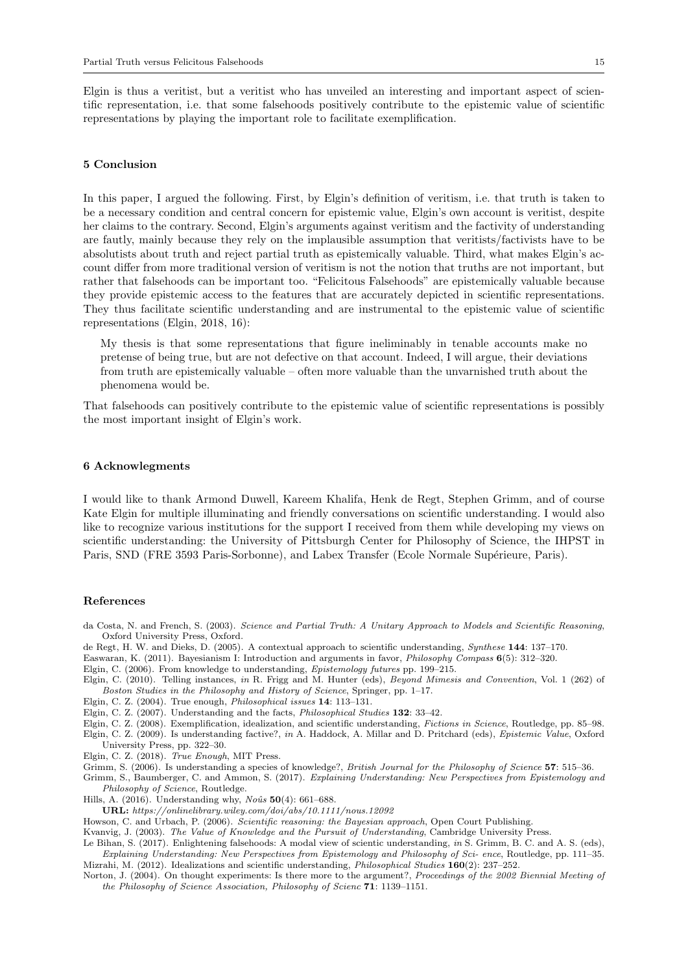Elgin is thus a veritist, but a veritist who has unveiled an interesting and important aspect of scientific representation, i.e. that some falsehoods positively contribute to the epistemic value of scientific representations by playing the important role to facilitate exemplification.

## 5 Conclusion

In this paper, I argued the following. First, by Elgin's definition of veritism, i.e. that truth is taken to be a necessary condition and central concern for epistemic value, Elgin's own account is veritist, despite her claims to the contrary. Second, Elgin's arguments against veritism and the factivity of understanding are fautly, mainly because they rely on the implausible assumption that veritists/factivists have to be absolutists about truth and reject partial truth as epistemically valuable. Third, what makes Elgin's account differ from more traditional version of veritism is not the notion that truths are not important, but rather that falsehoods can be important too. "Felicitous Falsehoods" are epistemically valuable because they provide epistemic access to the features that are accurately depicted in scientific representations. They thus facilitate scientific understanding and are instrumental to the epistemic value of scientific representations (Elgin, 2018, 16):

My thesis is that some representations that figure ineliminably in tenable accounts make no pretense of being true, but are not defective on that account. Indeed, I will argue, their deviations from truth are epistemically valuable – often more valuable than the unvarnished truth about the phenomena would be.

That falsehoods can positively contribute to the epistemic value of scientific representations is possibly the most important insight of Elgin's work.

#### 6 Acknowlegments

I would like to thank Armond Duwell, Kareem Khalifa, Henk de Regt, Stephen Grimm, and of course Kate Elgin for multiple illuminating and friendly conversations on scientific understanding. I would also like to recognize various institutions for the support I received from them while developing my views on scientific understanding: the University of Pittsburgh Center for Philosophy of Science, the IHPST in Paris, SND (FRE 3593 Paris-Sorbonne), and Labex Transfer (Ecole Normale Supérieure, Paris).

#### References

- da Costa, N. and French, S. (2003). Science and Partial Truth: A Unitary Approach to Models and Scientific Reasoning, Oxford University Press, Oxford.
- de Regt, H. W. and Dieks, D. (2005). A contextual approach to scientific understanding, Synthese 144: 137–170.
- Easwaran, K. (2011). Bayesianism I: Introduction and arguments in favor, Philosophy Compass 6(5): 312–320.
- Elgin, C. (2006). From knowledge to understanding, Epistemology futures pp. 199–215.
- Elgin, C. (2010). Telling instances, in R. Frigg and M. Hunter (eds), Beyond Mimesis and Convention, Vol. 1 (262) of Boston Studies in the Philosophy and History of Science, Springer, pp. 1–17.
- Elgin, C. Z. (2004). True enough, Philosophical issues 14: 113–131.
- Elgin, C. Z. (2007). Understanding and the facts, Philosophical Studies 132: 33–42.

Elgin, C. Z. (2008). Exemplification, idealization, and scientific understanding, Fictions in Science, Routledge, pp. 85–98. Elgin, C. Z. (2009). Is understanding factive?, in A. Haddock, A. Millar and D. Pritchard (eds), Epistemic Value, Oxford University Press, pp. 322–30.

- Elgin, C. Z. (2018). True Enough, MIT Press.
- Grimm, S. (2006). Is understanding a species of knowledge?, British Journal for the Philosophy of Science 57: 515–36.

Grimm, S., Baumberger, C. and Ammon, S. (2017). Explaining Understanding: New Perspectives from Epistemology and Philosophy of Science, Routledge.

Hills, A. (2016). Understanding why,  $No\hat{u}s$  50(4): 661–688.

URL: https://onlinelibrary.wiley.com/doi/abs/10.1111/nous.12092

- Howson, C. and Urbach, P. (2006). Scientific reasoning: the Bayesian approach, Open Court Publishing.
- Kvanvig, J. (2003). The Value of Knowledge and the Pursuit of Understanding, Cambridge University Press.
- Le Bihan, S. (2017). Enlightening falsehoods: A modal view of scientic understanding, in S. Grimm, B. C. and A. S. (eds), Explaining Understanding: New Perspectives from Epistemology and Philosophy of Sci- ence, Routledge, pp. 111–35. Mizrahi, M. (2012). Idealizations and scientific understanding, Philosophical Studies 160(2): 237–252.
- Norton, J. (2004). On thought experiments: Is there more to the argument?, Proceedings of the 2002 Biennial Meeting of the Philosophy of Science Association, Philosophy of Scienc 71: 1139–1151.